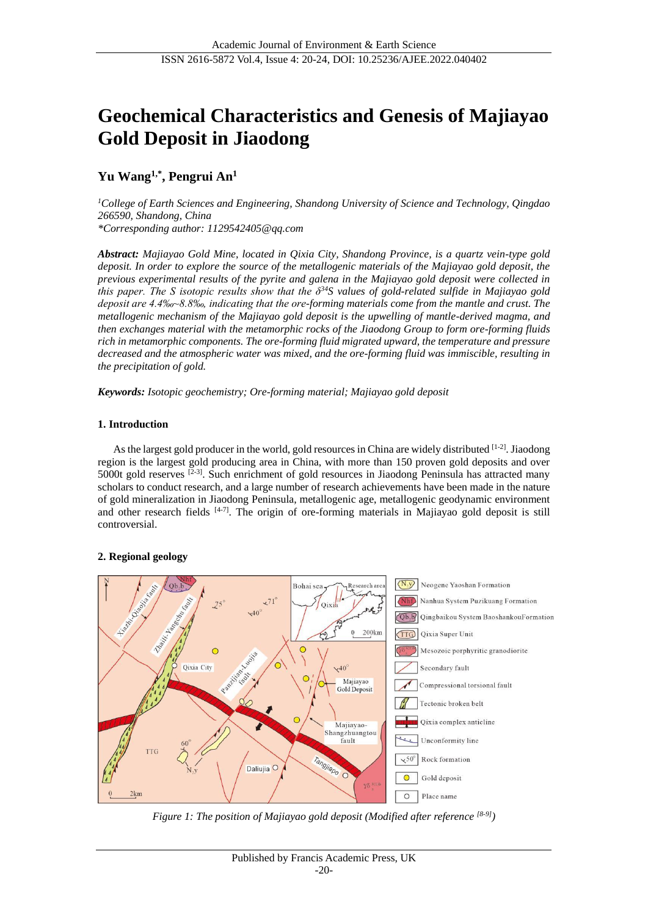# **Geochemical Characteristics and Genesis of Majiayao Gold Deposit in Jiaodong**

## **Yu Wang1,\* , Pengrui An<sup>1</sup>**

*<sup>1</sup>College of Earth Sciences and Engineering, Shandong University of Science and Technology, Qingdao 266590, Shandong, China \*Corresponding author: 1129542405@qq.com*

*Abstract: Majiayao Gold Mine, located in Qixia City, Shandong Province, is a quartz vein-type gold deposit. In order to explore the source of the metallogenic materials of the Majiayao gold deposit, the previous experimental results of the pyrite and galena in the Majiayao gold deposit were collected in this paper. The S isotopic results show that the δ<sup>34</sup>S values of gold-related sulfide in Majiayao gold deposit are 4.4‰~8.8‰, indicating that the ore-forming materials come from the mantle and crust. The metallogenic mechanism of the Majiayao gold deposit is the upwelling of mantle-derived magma, and then exchanges material with the metamorphic rocks of the Jiaodong Group to form ore-forming fluids rich in metamorphic components. The ore-forming fluid migrated upward, the temperature and pressure decreased and the atmospheric water was mixed, and the ore-forming fluid was immiscible, resulting in the precipitation of gold.*

*Keywords: Isotopic geochemistry; Ore-forming material; Majiayao gold deposit*

#### **1. Introduction**

As the largest gold producer in the world, gold resources in China are widely distributed [1-2]. Jiaodong region is the largest gold producing area in China, with more than 150 proven gold deposits and over 5000t gold reserves  $[2-3]$ . Such enrichment of gold resources in Jiaodong Peninsula has attracted many scholars to conduct research, and a large number of research achievements have been made in the nature of gold mineralization in Jiaodong Peninsula, metallogenic age, metallogenic geodynamic environment and other research fields  $[4-7]$ . The origin of ore-forming materials in Majiayao gold deposit is still controversial.

#### **2. Regional geology**



*Figure 1: The position of Majiayao gold deposit (Modified after reference [8-9])*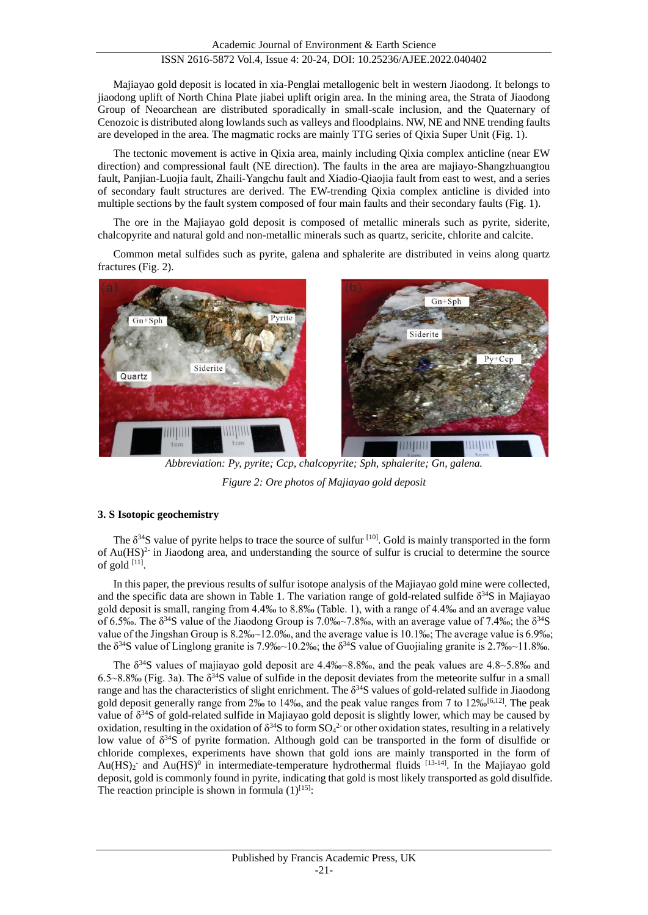Majiayao gold deposit is located in xia-Penglai metallogenic belt in western Jiaodong. It belongs to jiaodong uplift of North China Plate jiabei uplift origin area. In the mining area, the Strata of Jiaodong Group of Neoarchean are distributed sporadically in small-scale inclusion, and the Quaternary of Cenozoic is distributed along lowlands such as valleys and floodplains. NW, NE and NNE trending faults are developed in the area. The magmatic rocks are mainly TTG series of Qixia Super Unit (Fig. 1).

The tectonic movement is active in Qixia area, mainly including Qixia complex anticline (near EW direction) and compressional fault (NE direction). The faults in the area are majiayo-Shangzhuangtou fault, Panjian-Luojia fault, Zhaili-Yangchu fault and Xiadio-Qiaojia fault from east to west, and a series of secondary fault structures are derived. The EW-trending Qixia complex anticline is divided into multiple sections by the fault system composed of four main faults and their secondary faults (Fig. 1).

The ore in the Majiayao gold deposit is composed of metallic minerals such as pyrite, siderite, chalcopyrite and natural gold and non-metallic minerals such as quartz, sericite, chlorite and calcite.

Common metal sulfides such as pyrite, galena and sphalerite are distributed in veins along quartz fractures (Fig. 2).



*Abbreviation: Py, pyrite; Ccp, chalcopyrite; Sph, sphalerite; Gn, galena. Figure 2: Ore photos of Majiayao gold deposit*

#### **3. S Isotopic geochemistry**

The  $\delta^{34}S$  value of pyrite helps to trace the source of sulfur  $[10]$ . Gold is mainly transported in the form of  $Au(HS)^2$  in Jiaodong area, and understanding the source of sulfur is crucial to determine the source of gold  $^{[11]}$ .

In this paper, the previous results of sulfur isotope analysis of the Majiayao gold mine were collected, and the specific data are shown in Table 1. The variation range of gold-related sulfide  $\delta^{34}S$  in Majiayao gold deposit is small, ranging from 4.4‰ to 8.8‰ (Table. 1), with a range of 4.4‰ and an average value of 6.5‰. The  $\delta^{34}S$  value of the Jiaodong Group is 7.0‰~7.8‰, with an average value of 7.4‰; the  $\delta^{34}S$ value of the Jingshan Group is 8.2‰~12.0‰, and the average value is 10.1‰; The average value is 6.9‰; the  $\delta^{34}$ S value of Linglong granite is 7.9‰~10.2‰; the  $\delta^{34}$ S value of Guojialing granite is 2.7‰~11.8‰.

The  $\delta^{34}$ S values of majiayao gold deposit are 4.4‰~8.8‰, and the peak values are 4.8~5.8‰ and 6.5~8.8‰ (Fig. 3a). The  $\delta^{34}S$  value of sulfide in the deposit deviates from the meteorite sulfur in a small range and has the characteristics of slight enrichment. The δ<sup>34</sup>S values of gold-related sulfide in Jiaodong gold deposit generally range from 2‰ to 14‰, and the peak value ranges from 7 to 12‰<sup>[6,12]</sup>. The peak value of  $\delta^{34}S$  of gold-related sulfide in Majiayao gold deposit is slightly lower, which may be caused by oxidation, resulting in the oxidation of  $\delta^{34}S$  to form  $SO_4^2$  or other oxidation states, resulting in a relatively low value of  $\delta^{34}S$  of pyrite formation. Although gold can be transported in the form of disulfide or chloride complexes, experiments have shown that gold ions are mainly transported in the form of  $Au(HS)_2$  and  $Au(HS)^0$  in intermediate-temperature hydrothermal fluids [13-14]. In the Majiayao gold deposit, gold is commonly found in pyrite, indicating that gold is most likely transported as gold disulfide. The reaction principle is shown in formula  $(1)^{[15]}$ :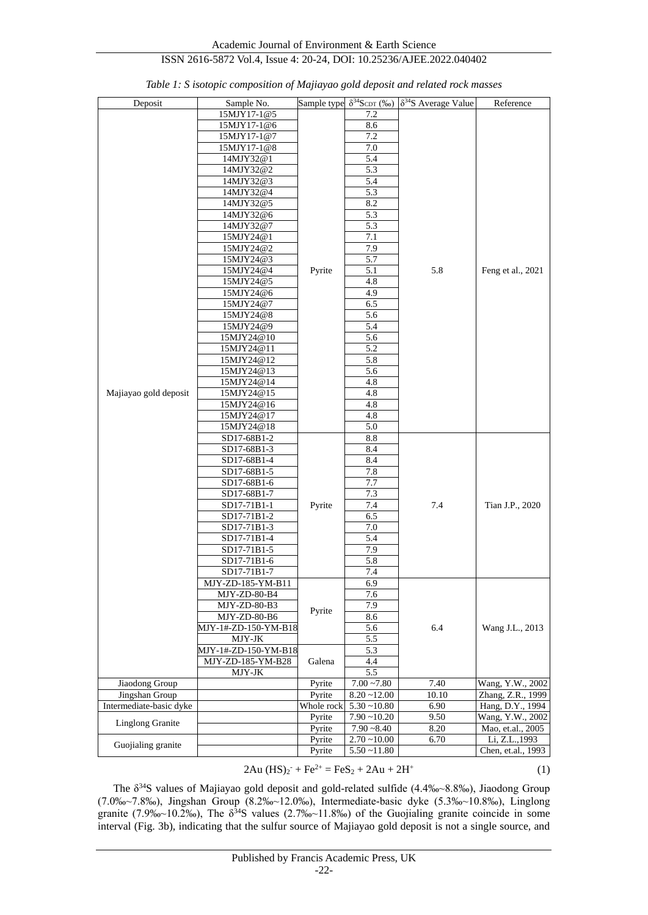## ISSN 2616-5872 Vol.4, Issue 4: 20-24, DOI: 10.25236/AJEE.2022.040402

| Deposit                 | Sample No.                              |            | Sample type $\delta^{34}S_{CDT}$ (‰) | $\delta^{34}S$ Average Value | Reference          |
|-------------------------|-----------------------------------------|------------|--------------------------------------|------------------------------|--------------------|
|                         | 15MJY17-1@5                             |            | 7.2                                  |                              |                    |
|                         | 15MJY17-1@6                             |            | 8.6                                  |                              |                    |
|                         | 15MJY17-1@7                             |            | 7.2                                  |                              |                    |
|                         | 15MJY17-1@8                             |            | 7.0                                  |                              |                    |
|                         | 14MJY32@1                               |            | 5.4                                  |                              |                    |
|                         | 14MJY32@2                               |            | 5.3                                  |                              |                    |
|                         | 14MJY32@3                               |            | 5.4                                  |                              |                    |
|                         | 14MJY32@4                               |            | 5.3                                  |                              |                    |
|                         |                                         |            |                                      |                              |                    |
|                         | 14MJY32@5                               |            | 8.2                                  |                              |                    |
|                         | 14MJY32@6                               |            | 5.3                                  |                              | Feng et al., 2021  |
|                         | 14MJY32@7                               |            | 5.3                                  |                              |                    |
|                         | 15MJY24@1                               |            | 7.1                                  |                              |                    |
|                         | 15MJY24@2                               |            | 7.9                                  |                              |                    |
|                         | 15MJY24@3                               |            | 5.7                                  |                              |                    |
|                         | 15MJY24@4                               | Pyrite     | 5.1                                  | 5.8                          |                    |
|                         | 15MJY24@5                               |            | 4.8                                  |                              |                    |
|                         | 15MJY24@6                               |            | 4.9                                  |                              |                    |
|                         | 15MJY24@7                               |            | 6.5                                  |                              |                    |
|                         | 15MJY24@8                               |            | 5.6                                  |                              |                    |
|                         |                                         |            |                                      |                              |                    |
|                         | 15MJY24@9                               |            | 5.4                                  |                              |                    |
|                         | 15MJY24@10                              |            | 5.6                                  |                              |                    |
|                         | 15MJY24@11                              |            | 5.2                                  |                              |                    |
|                         | 15MJY24@12                              |            | 5.8                                  |                              |                    |
|                         | 15MJY24@13                              |            | 5.6                                  |                              |                    |
|                         | 15MJY24@14                              |            | 4.8                                  |                              |                    |
| Majiayao gold deposit   | 15MJY24@15                              |            | 4.8                                  |                              |                    |
|                         | 15MJY24@16                              |            | $4.8\,$                              |                              |                    |
|                         | 15MJY24@17                              |            | 4.8                                  |                              |                    |
|                         | 15MJY24@18                              |            | 5.0                                  |                              |                    |
|                         | SD17-68B1-2                             |            | 8.8                                  |                              |                    |
|                         | SD17-68B1-3                             |            | 8.4                                  |                              |                    |
|                         | $SD17-68B1-4$                           |            |                                      |                              |                    |
|                         |                                         |            | 8.4                                  |                              | Tian J.P., 2020    |
|                         | SD17-68B1-5                             |            | 7.8                                  |                              |                    |
|                         | SD17-68B1-6                             |            | 7.7                                  |                              |                    |
|                         | SD17-68B1-7                             |            | 7.3                                  |                              |                    |
|                         | SD17-71B1-1                             | Pyrite     | 7.4                                  | 7.4                          |                    |
|                         | SD17-71B1-2                             |            | 6.5                                  |                              |                    |
|                         | SD17-71B1-3                             |            | 7.0                                  |                              |                    |
|                         | SD17-71B1-4                             |            | 5.4                                  |                              |                    |
|                         | SD17-71B1-5                             |            | 7.9                                  |                              |                    |
|                         | SD17-71B1-6                             |            | 5.8                                  |                              |                    |
|                         | SD17-71B1-7                             |            | 7.4                                  |                              |                    |
|                         | MJY-ZD-185-YM-B11                       |            | 6.9                                  |                              |                    |
|                         | $\rm MJY\text{-}ZD\text{-}80\text{-}B4$ | Pyrite     | 7.6                                  | 6.4                          | Wang J.L., 2013    |
|                         |                                         |            | 7.9                                  |                              |                    |
|                         | MJY-ZD-80-B3                            |            |                                      |                              |                    |
|                         | MJY-ZD-80-B6                            |            | 8.6                                  |                              |                    |
|                         | MJY-1#-ZD-150-YM-B18                    |            | 5.6                                  |                              |                    |
|                         | MJY-JK                                  |            | 5.5                                  |                              |                    |
|                         | MJY-1#-ZD-150-YM-B18                    | Galena     | 5.3                                  |                              |                    |
|                         | MJY-ZD-185-YM-B28                       |            | 4.4                                  |                              |                    |
|                         | MJY-JK                                  |            | 5.5                                  |                              |                    |
| Jiaodong Group          |                                         | Pyrite     | $7.00 - 7.80$                        | 7.40                         | Wang, Y.W., 2002   |
| Jingshan Group          |                                         | Pyrite     | $8.20 - 12.00$                       | 10.10                        | Zhang, Z.R., 1999  |
| Intermediate-basic dyke |                                         | Whole rock | $5.30 - 10.80$                       | 6.90                         | Hang, D.Y., 1994   |
|                         |                                         | Pyrite     | $7.90 - 10.20$                       | 9.50                         | Wang, Y.W., 2002   |
| <b>Linglong Granite</b> |                                         | Pyrite     | $7.90 - 8.40$                        | 8.20                         | Mao, et.al., 2005  |
|                         |                                         | Pyrite     | $2.70 - 10.00$                       | 6.70                         | Li, Z.L., 1993     |
| Guojialing granite      |                                         |            | $5.50 - 11.80$                       |                              | Chen, et.al., 1993 |
|                         |                                         | Pyrite     |                                      |                              |                    |

| Table 1: S isotopic composition of Majiayao gold deposit and related rock masses |  |  |  |  |  |  |
|----------------------------------------------------------------------------------|--|--|--|--|--|--|
|----------------------------------------------------------------------------------|--|--|--|--|--|--|

$$
2Au (HS)_2^{\bullet} + Fe^{2+} = FeS_2 + 2Au + 2H^+ \tag{1}
$$

The  $\delta^{34}$ S values of Majiayao gold deposit and gold-related sulfide (4.4‰~8.8‰), Jiaodong Group (7.0‰~7.8‰), Jingshan Group (8.2‰~12.0‰), Intermediate-basic dyke (5.3‰~10.8‰), Linglong granite (7.9‰~10.2‰), The  $\delta^{34}S$  values (2.7‰~11.8‰) of the Guojialing granite coincide in some interval (Fig. 3b), indicating that the sulfur source of Majiayao gold deposit is not a single source, and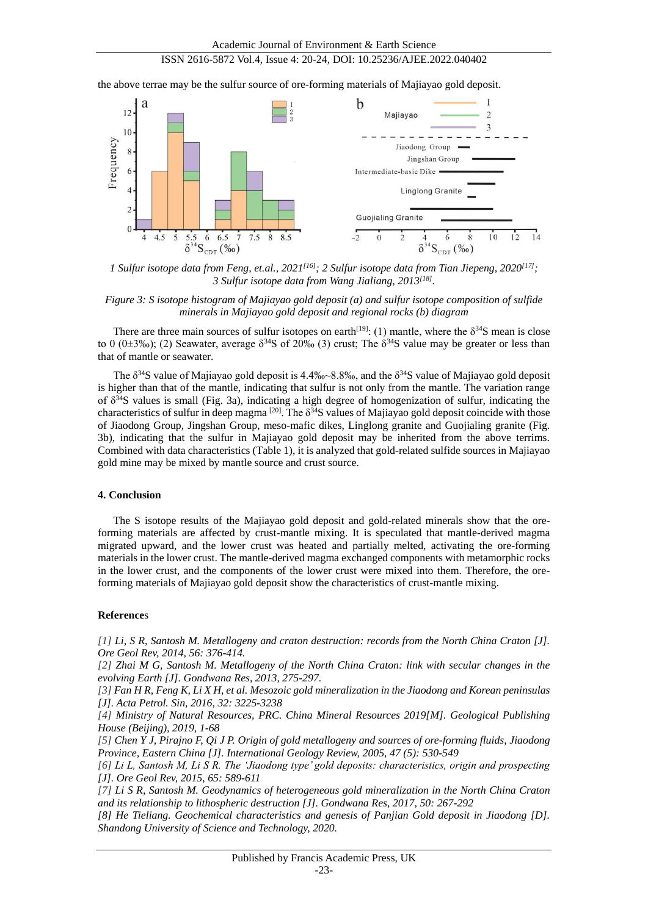## ISSN 2616-5872 Vol.4, Issue 4: 20-24, DOI: 10.25236/AJEE.2022.040402

the above terrae may be the sulfur source of ore-forming materials of Majiayao gold deposit.



*1 Sulfur isotope data from Feng, et.al., 2021[16] ; 2 Sulfur isotope data from Tian Jiepeng, 2020[17]; 3 Sulfur isotope data from Wang Jialiang, 2013[18] .*

*Figure 3: S isotope histogram of Majiayao gold deposit (a) and sulfur isotope composition of sulfide minerals in Majiayao gold deposit and regional rocks (b) diagram*

There are three main sources of sulfur isotopes on earth<sup>[19]</sup>: (1) mantle, where the  $\delta^{34}S$  mean is close to 0 (0 $\pm$ 3‰); (2) Seawater, average  $\delta^{34}S$  of 20‰ (3) crust; The  $\delta^{34}S$  value may be greater or less than that of mantle or seawater.

The  $\delta^{34}S$  value of Majiayao gold deposit is 4.4‰~8.8‰, and the  $\delta^{34}S$  value of Majiayao gold deposit is higher than that of the mantle, indicating that sulfur is not only from the mantle. The variation range of  $\delta^{34}$ S values is small (Fig. 3a), indicating a high degree of homogenization of sulfur, indicating the characteristics of sulfur in deep magma  $[20]$ . The  $\delta^{34}S$  values of Majiayao gold deposit coincide with those of Jiaodong Group, Jingshan Group, meso-mafic dikes, Linglong granite and Guojialing granite (Fig. 3b), indicating that the sulfur in Majiayao gold deposit may be inherited from the above terrims. Combined with data characteristics (Table 1), it is analyzed that gold-related sulfide sources in Majiayao gold mine may be mixed by mantle source and crust source.

#### **4. Conclusion**

The S isotope results of the Majiayao gold deposit and gold-related minerals show that the oreforming materials are affected by crust-mantle mixing. It is speculated that mantle-derived magma migrated upward, and the lower crust was heated and partially melted, activating the ore-forming materials in the lower crust. The mantle-derived magma exchanged components with metamorphic rocks in the lower crust, and the components of the lower crust were mixed into them. Therefore, the oreforming materials of Majiayao gold deposit show the characteristics of crust-mantle mixing.

#### **Reference**s

*[1] Li, S R, Santosh M. Metallogeny and craton destruction: records from the North China Craton [J]. Ore Geol Rev, 2014, 56: 376-414.*

*[2] Zhai M G, Santosh M. Metallogeny of the North China Craton: link with secular changes in the evolving Earth [J]. Gondwana Res, 2013, 275-297.*

*[3] Fan H R, Feng K, Li X H, et al. Mesozoic gold mineralization in the Jiaodong and Korean peninsulas [J]. Acta Petrol. Sin, 2016, 32: 3225-3238*

*[4] Ministry of Natural Resources, PRC. China Mineral Resources 2019[M]. Geological Publishing House (Beijing), 2019, 1-68*

*[5] Chen Y J, Pirajno F, Qi J P. Origin of gold metallogeny and sources of ore-forming fluids, Jiaodong Province, Eastern China [J]. International Geology Review, 2005, 47 (5): 530-549*

*[6] Li L, Santosh M, Li S R. The 'Jiaodong type' gold deposits: characteristics, origin and prospecting [J]. Ore Geol Rev, 2015, 65: 589-611*

*[7] Li S R, Santosh M. Geodynamics of heterogeneous gold mineralization in the North China Craton and its relationship to lithospheric destruction [J]. Gondwana Res, 2017, 50: 267-292*

*[8] He Tieliang. Geochemical characteristics and genesis of Panjian Gold deposit in Jiaodong [D]. Shandong University of Science and Technology, 2020.*